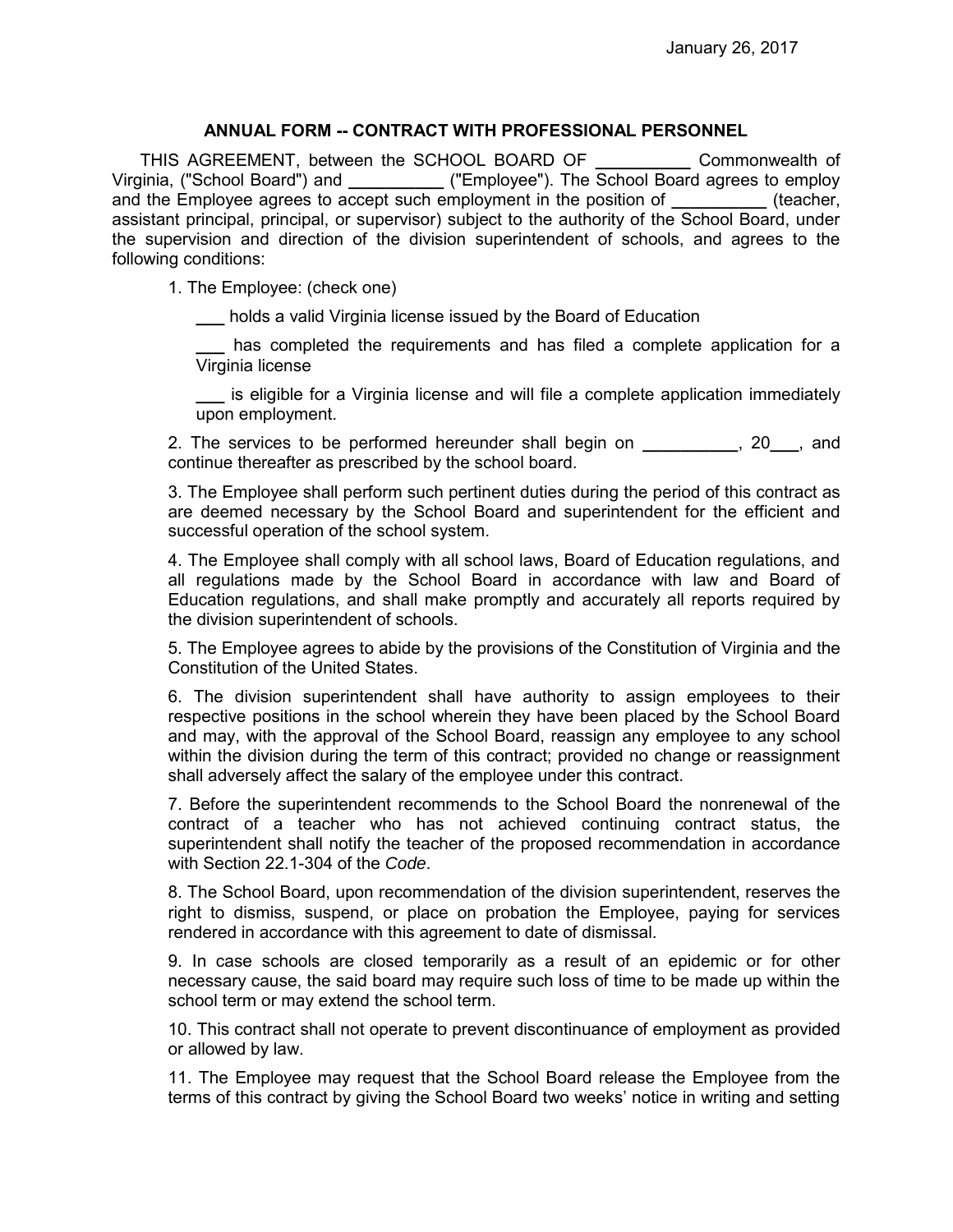## **ANNUAL FORM -- CONTRACT WITH PROFESSIONAL PERSONNEL**

THIS AGREEMENT, between the SCHOOL BOARD OF **\_\_\_\_\_\_\_\_\_\_** Commonwealth of Virginia, ("School Board") and **\_\_\_\_\_\_\_\_\_\_** ("Employee"). The School Board agrees to employ and the Employee agrees to accept such employment in the position of *The Employee agrees* to accept such employment in the position of assistant principal, principal, or supervisor) subject to the authority of the School Board, under the supervision and direction of the division superintendent of schools, and agrees to the following conditions:

1. The Employee: (check one)

**\_\_\_** holds a valid Virginia license issued by the Board of Education

**\_\_\_** has completed the requirements and has filed a complete application for a Virginia license

**\_\_\_** is eligible for a Virginia license and will file a complete application immediately upon employment.

2. The services to be performed hereunder shall begin on **\_\_\_\_\_\_\_\_\_\_**, 20**\_\_\_**, and continue thereafter as prescribed by the school board.

3. The Employee shall perform such pertinent duties during the period of this contract as are deemed necessary by the School Board and superintendent for the efficient and successful operation of the school system.

4. The Employee shall comply with all school laws, Board of Education regulations, and all regulations made by the School Board in accordance with law and Board of Education regulations, and shall make promptly and accurately all reports required by the division superintendent of schools.

5. The Employee agrees to abide by the provisions of the Constitution of Virginia and the Constitution of the United States.

6. The division superintendent shall have authority to assign employees to their respective positions in the school wherein they have been placed by the School Board and may, with the approval of the School Board, reassign any employee to any school within the division during the term of this contract; provided no change or reassignment shall adversely affect the salary of the employee under this contract.

7. Before the superintendent recommends to the School Board the nonrenewal of the contract of a teacher who has not achieved continuing contract status, the superintendent shall notify the teacher of the proposed recommendation in accordance with Section 22.1-304 of the *Code*.

8. The School Board, upon recommendation of the division superintendent, reserves the right to dismiss, suspend, or place on probation the Employee, paying for services rendered in accordance with this agreement to date of dismissal.

9. In case schools are closed temporarily as a result of an epidemic or for other necessary cause, the said board may require such loss of time to be made up within the school term or may extend the school term.

10. This contract shall not operate to prevent discontinuance of employment as provided or allowed by law.

11. The Employee may request that the School Board release the Employee from the terms of this contract by giving the School Board two weeks' notice in writing and setting